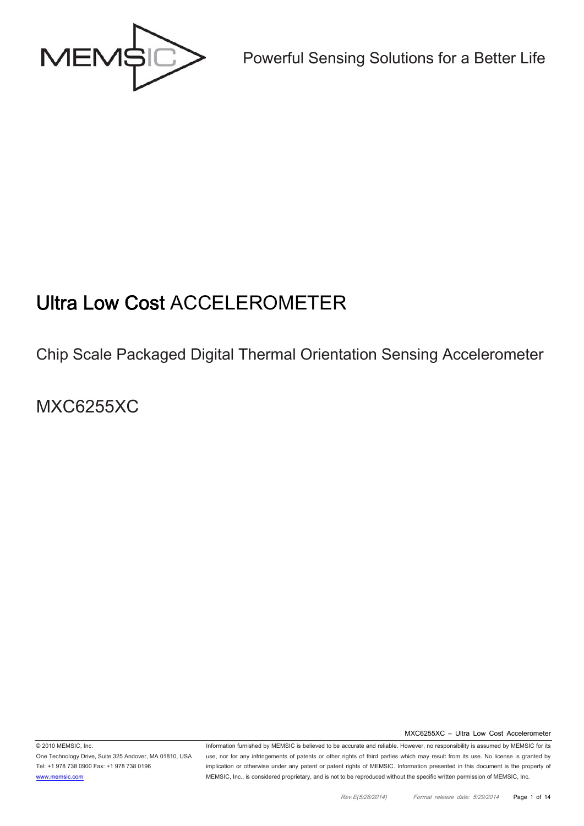

Powerful Sensing Solutions for a Better Life

# Ultra Low Cost ACCELEROMETER

## Chip Scale Packaged Digital Thermal Orientation Sensing Accelerometer

MXC6255XC

MXC6255XC – Ultra Low Cost Accelerometer

© 2010 MEMSIC, Inc. One Technology Drive, Suite 325 Andover, MA 01810, USA Tel: +1 978 738 0900 Fax: +1 978 738 0196 www.memsic.com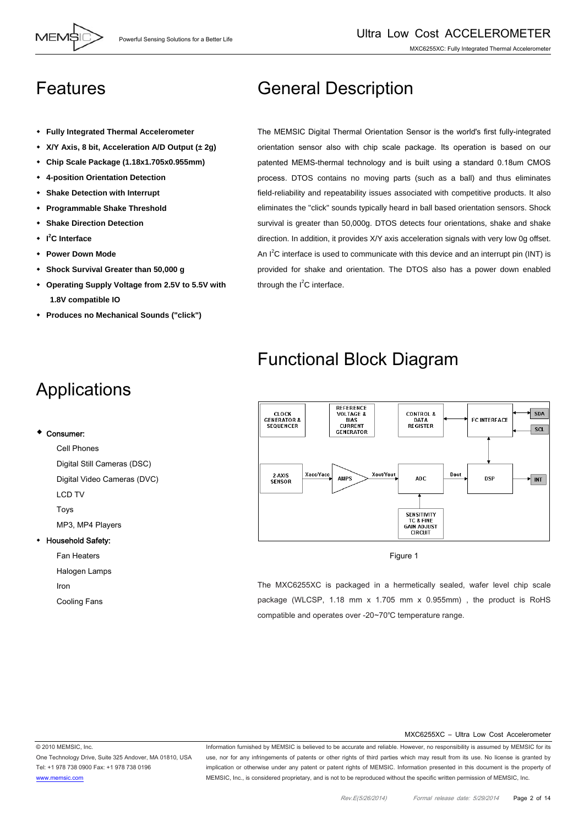### Features

- **Fully Integrated Thermal Accelerometer**
- **X/Y Axis, 8 bit, Acceleration A/D Output (± 2g)**
- **Chip Scale Package (1.18x1.705x0.955mm)**
- **4-position Orientation Detection**
- **Shake Detection with Interrupt**
- **Programmable Shake Threshold**
- **Shake Direction Detection**
- **I 2 C Interface**
- **Power Down Mode**
- **Shock Survival Greater than 50,000 g**
- **Operating Supply Voltage from 2.5V to 5.5V with 1.8V compatible IO**
- **Produces no Mechanical Sounds ("click")**

# Applications

#### Consumer:

Cell Phones Digital Still Cameras (DSC) Digital Video Cameras (DVC) LCD TV Toys MP3, MP4 Players

#### Household Safety:

Fan Heaters

Halogen Lamps

Iron

Cooling Fans

## General Description

The MEMSIC Digital Thermal Orientation Sensor is the world's first fully-integrated orientation sensor also with chip scale package. Its operation is based on our patented MEMS-thermal technology and is built using a standard 0.18um CMOS process. DTOS contains no moving parts (such as a ball) and thus eliminates field-reliability and repeatability issues associated with competitive products. It also eliminates the "click" sounds typically heard in ball based orientation sensors. Shock survival is greater than 50,000g. DTOS detects four orientations, shake and shake direction. In addition, it provides X/Y axis acceleration signals with very low 0g offset. An  $I^2C$  interface is used to communicate with this device and an interrupt pin (INT) is provided for shake and orientation. The DTOS also has a power down enabled through the  $I^2C$  interface.

## Functional Block Diagram



Figure 1

The MXC6255XC is packaged in a hermetically sealed, wafer level chip scale package (WLCSP, 1.18 mm x 1.705 mm x 0.955mm) , the product is RoHS compatible and operates over -20~70℃ temperature range.

#### MXC6255XC – Ultra Low Cost Accelerometer

© 2010 MEMSIC, Inc. One Technology Drive, Suite 325 Andover, MA 01810, USA Tel: +1 978 738 0900 Fax: +1 978 738 0196 www.memsic.com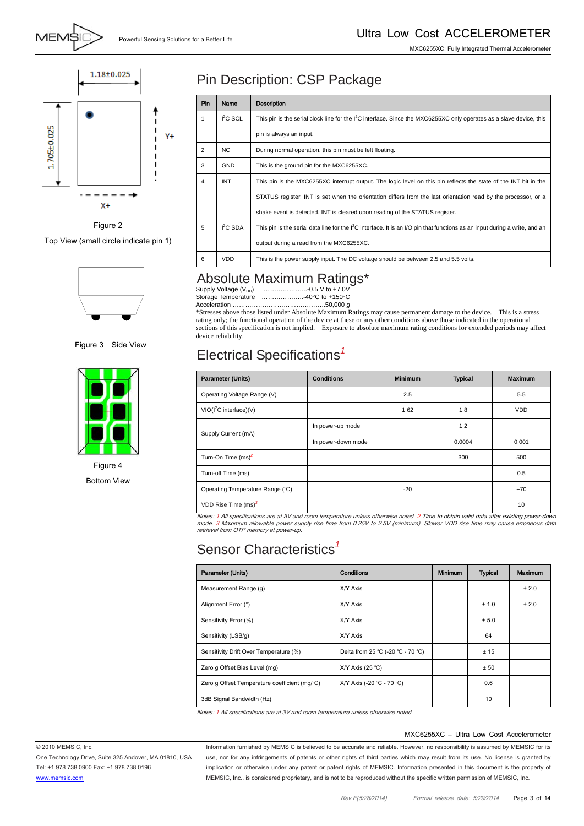MXC6255XC: Fully Integrated Thermal Accelerometer



#### Figure 2

Top View (small circle indicate pin 1)



Figure 3 Side View



Figure 4 Bottom View

### Pin Description: CSP Package

| Pin            | Name       | Description                                                                                                                   |
|----------------|------------|-------------------------------------------------------------------------------------------------------------------------------|
| 1              | $I2C$ SCL  | This pin is the serial clock line for the $I2C$ interface. Since the MXC6255XC only operates as a slave device, this          |
|                |            | pin is always an input.                                                                                                       |
| $\overline{2}$ | NC.        | During normal operation, this pin must be left floating.                                                                      |
| 3              | <b>GND</b> | This is the ground pin for the MXC6255XC.                                                                                     |
| 4              | <b>INT</b> | This pin is the MXC6255XC interrupt output. The logic level on this pin reflects the state of the INT bit in the              |
|                |            | STATUS register. INT is set when the orientation differs from the last orientation read by the processor, or a                |
|                |            | shake event is detected. INT is cleared upon reading of the STATUS register.                                                  |
| 5              | $I2C$ SDA  | This pin is the serial data line for the $I^2C$ interface. It is an I/O pin that functions as an input during a write, and an |
|                |            | output during a read from the MXC6255XC.                                                                                      |
| 6              | VDD        | This is the power supply input. The DC voltage should be between 2.5 and 5.5 volts.                                           |

### Absolute Maximum Ratings\*

| Supply Voltage (V <sub>DD</sub> ) | ຼ<br>-0.5 V to +7.0V   |
|-----------------------------------|------------------------|
| Storage Temperature               | …………………-40°C to +150°C |
| Acceleration                      | 50.000 $\sigma$        |

Acceleration ………………………………………50,000 *g*<br>\*Stresses above those listed under Absolute Maximum Ratings may cause permanent damage to the device. This is a stress rating only; the functional operation of the device at these or any other conditions above those indicated in the operational sections of this specification is not implied. Exposure to absolute maximum rating conditions for extended periods may affect device reliability.

### Electrical Specifications*<sup>1</sup>*

| <b>Parameter (Units)</b>           | <b>Conditions</b>  | <b>Minimum</b> | <b>Typical</b> | <b>Maximum</b> |
|------------------------------------|--------------------|----------------|----------------|----------------|
| Operating Voltage Range (V)        |                    | 2.5            |                | 5.5            |
| VIO(I <sup>2</sup> C interface)(V) |                    | 1.62           | 1.8            | <b>VDD</b>     |
|                                    | In power-up mode   |                | 1.2            |                |
| Supply Current (mA)                | In power-down mode |                | 0.0004         | 0.001          |
| Turn-On Time (ms) <sup>2</sup>     |                    |                | 300            | 500            |
| Turn-off Time (ms)                 |                    |                |                | 0.5            |
| Operating Temperature Range (°C)   |                    | $-20$          |                | $+70$          |
| VDD Rise Time $(ms)^3$             |                    |                |                | 10             |

Notes: 1 All specifications are at 3V and room temperature unless otherwise noted. 2 Time to obtain valid data after existing power-down<br>mode. 3 Maximum allowable power supply rise time from 0.25V to 2.5V (minimum). Slower retrieval from OTP memory at power-up.

### Sensor Characteristics*<sup>1</sup>*

| Parameter (Units)                             | Conditions                        | <b>Minimum</b> | <b>Typical</b> | Maximum |
|-----------------------------------------------|-----------------------------------|----------------|----------------|---------|
| Measurement Range (g)                         | X/Y Axis                          |                |                | ± 2.0   |
| Alignment Error (°)                           | X/Y Axis                          |                | ± 1.0          | ± 2.0   |
| Sensitivity Error (%)                         | X/Y Axis                          |                | ± 5.0          |         |
| Sensitivity (LSB/g)                           | X/Y Axis                          |                | 64             |         |
| Sensitivity Drift Over Temperature (%)        | Delta from 25 °C (-20 °C - 70 °C) |                | ±15            |         |
| Zero g Offset Bias Level (mg)                 | $X/Y$ Axis (25 °C)                |                | ± 50           |         |
| Zero g Offset Temperature coefficient (mg/°C) | X/Y Axis (-20 °C - 70 °C)         |                | 0.6            |         |
| 3dB Signal Bandwidth (Hz)                     |                                   |                | 10             |         |

Notes: 1 All specifications are at 3V and room temperature unless otherwise noted.

#### MXC6255XC – Ultra Low Cost Accelerometer

© 2010 MEMSIC, Inc. One Technology Drive, Suite 325 Andover, MA 01810, USA Tel: +1 978 738 0900 Fax: +1 978 738 0196 www.memsic.com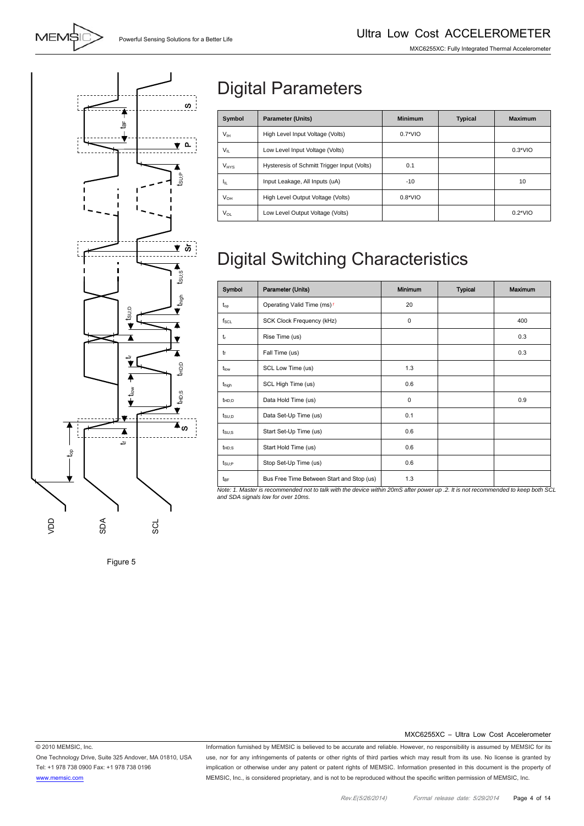

# Digital Parameters

| Symbol          | <b>Parameter (Units)</b>                    | <b>Minimum</b> | <b>Typical</b> | <b>Maximum</b> |
|-----------------|---------------------------------------------|----------------|----------------|----------------|
| V <sub>IH</sub> | High Level Input Voltage (Volts)            | $0.7*VIO$      |                |                |
| $V_{II}$        | Low Level Input Voltage (Volts)             |                |                | $0.3*VIO$      |
| $V_{HYS}$       | Hysteresis of Schmitt Trigger Input (Volts) | 0.1            |                |                |
| ŀμ              | Input Leakage, All Inputs (uA)              | $-10$          |                | 10             |
| $V_{OH}$        | High Level Output Voltage (Volts)           | $0.8*VIO$      |                |                |
| $V_{OL}$        | Low Level Output Voltage (Volts)            |                |                | $0.2*VIO$      |

# Digital Switching Characteristics

| Symbol            | Parameter (Units)                         | <b>Minimum</b> | <b>Typical</b> | Maximum |
|-------------------|-------------------------------------------|----------------|----------------|---------|
| $t_{op}$          | Operating Valid Time (ms) <sup>1</sup>    | 20             |                |         |
| $f_{\rm SCL}$     | SCK Clock Frequency (kHz)                 | $\mathbf 0$    |                | 400     |
| $t_{r}$           | Rise Time (us)                            |                |                | 0.3     |
| tr                | Fall Time (us)                            |                |                | 0.3     |
| tlow              | SCL Low Time (us)                         | 1.3            |                |         |
| t <sub>high</sub> | SCL High Time (us)                        | 0.6            |                |         |
| $t_{HD;D}$        | Data Hold Time (us)                       | $\mathbf 0$    |                | 0.9     |
| $t_{\text{SU};D}$ | Data Set-Up Time (us)                     | 0.1            |                |         |
| $t_{\text{SU;S}}$ | Start Set-Up Time (us)                    | 0.6            |                |         |
| $t_{HD;S}$        | Start Hold Time (us)                      | 0.6            |                |         |
| $t_{\text{SU;P}}$ | Stop Set-Up Time (us)                     | 0.6            |                |         |
| t <sub>BF</sub>   | Bus Free Time Between Start and Stop (us) | 1.3            |                |         |

*Note: 1. Master is recommended not to talk with the device within 20mS after power up .2. It is not recommended to keep both SCL and SDA signals low for over 10ms.* 

Figure 5

#### MXC6255XC – Ultra Low Cost Accelerometer

© 2010 MEMSIC, Inc. One Technology Drive, Suite 325 Andover, MA 01810, USA Tel: +1 978 738 0900 Fax: +1 978 738 0196 www.memsic.com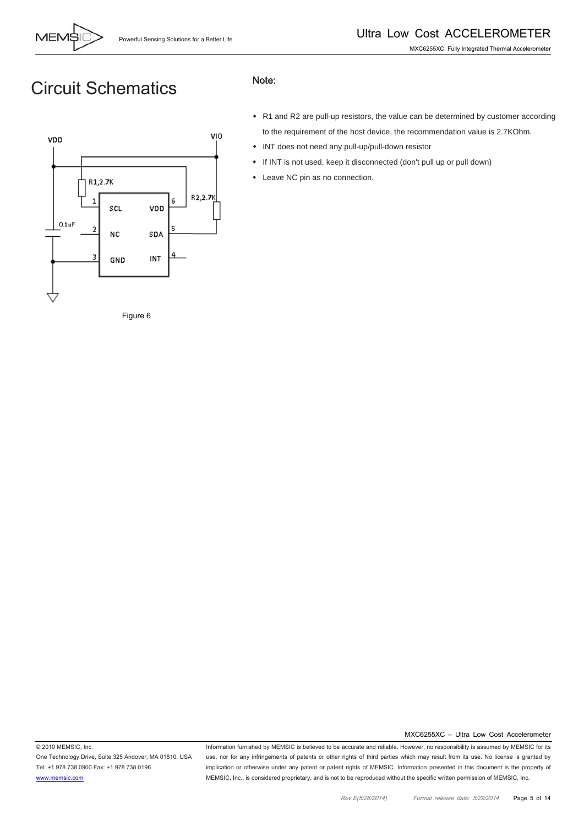

## Circuit Schematics



#### Note:

- R1 and R2 are pull-up resistors, the value can be determined by customer according to the requirement of the host device, the recommendation value is 2.7KOhm.
- INT does not need any pull-up/pull-down resistor
- If INT is not used, keep it disconnected (don't pull up or pull down)
- Leave NC pin as no connection.

Figure 6

MXC6255XC – Ultra Low Cost Accelerometer

© 2010 MEMSIC, Inc. One Technology Drive, Suite 325 Andover, MA 01810, USA Tel: +1 978 738 0900 Fax: +1 978 738 0196 www.memsic.com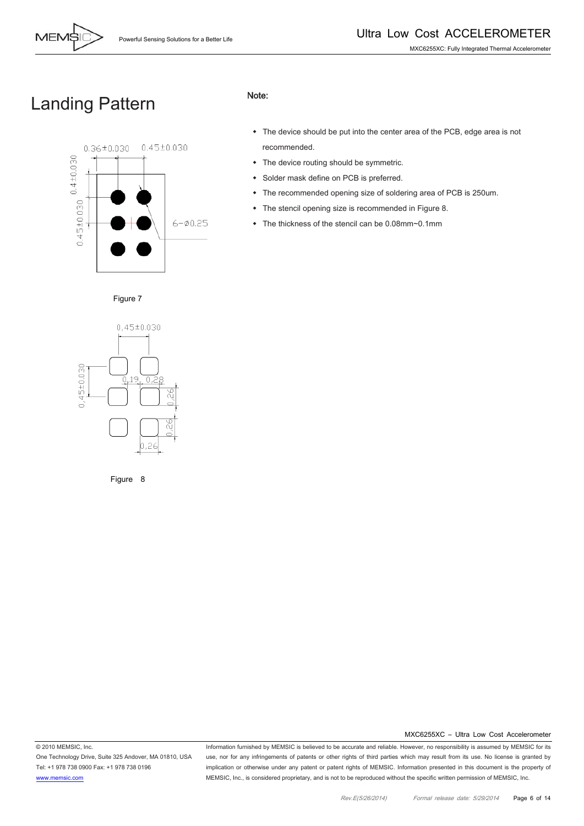

## Landing Pattern



#### Note:

- The device should be put into the center area of the PCB, edge area is not recommended.
- The device routing should be symmetric.
- Solder mask define on PCB is preferred.
- The recommended opening size of soldering area of PCB is 250um.
- The stencil opening size is recommended in Figure 8.
- The thickness of the stencil can be 0.08mm~0.1mm



Figure 7

Figure 8

MXC6255XC – Ultra Low Cost Accelerometer

© 2010 MEMSIC, Inc.

One Technology Drive, Suite 325 Andover, MA 01810, USA Tel: +1 978 738 0900 Fax: +1 978 738 0196 www.memsic.com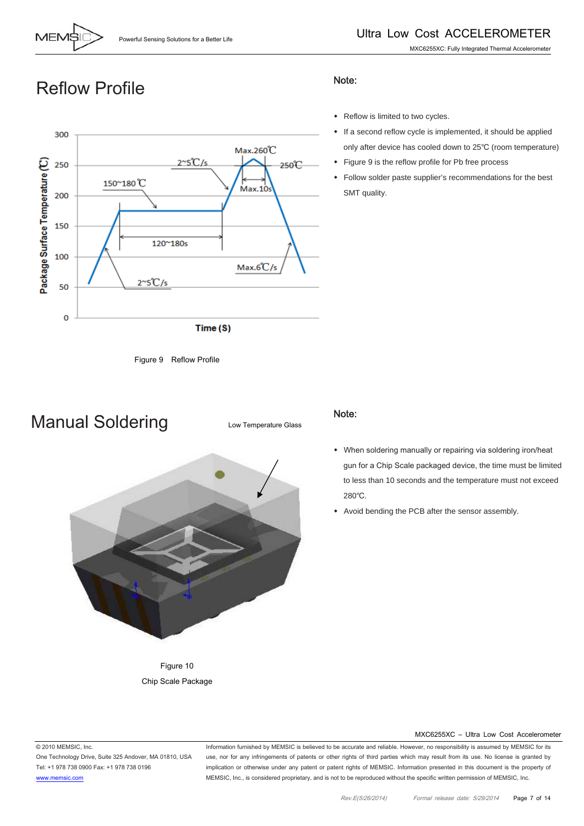

only after device has cooled down to 25℃ (room temperature)

## Reflow Profile





Manual Soldering

Low Temperature Glass



### Note:

Note:

SMT quality.

- When soldering manually or repairing via soldering iron/heat gun for a Chip Scale packaged device, the time must be limited to less than 10 seconds and the temperature must not exceed 280℃.
- Avoid bending the PCB after the sensor assembly.

Figure 10 Chip Scale Package

#### MXC6255XC – Ultra Low Cost Accelerometer

© 2010 MEMSIC, Inc.

One Technology Drive, Suite 325 Andover, MA 01810, USA Tel: +1 978 738 0900 Fax: +1 978 738 0196 www.memsic.com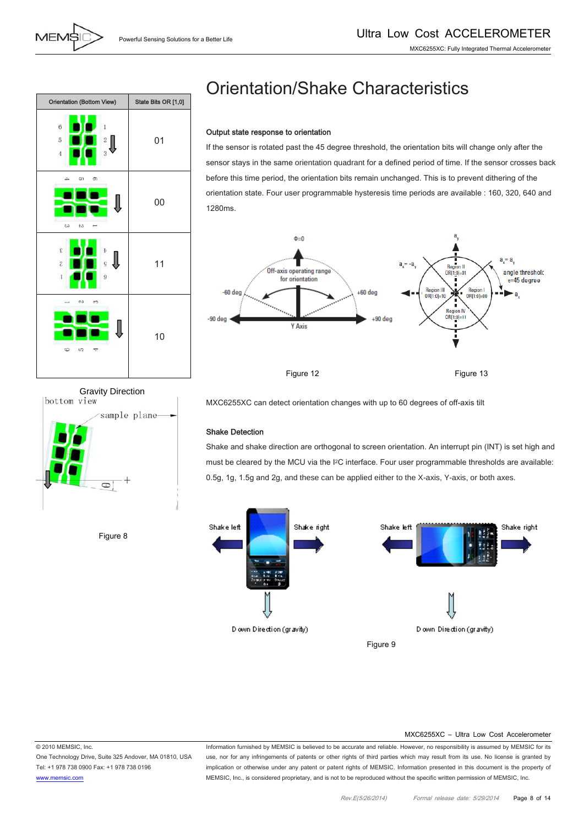

# Orientation/Shake Characteristics

#### Output state response to orientation

If the sensor is rotated past the 45 degree threshold, the orientation bits will change only after the sensor stays in the same orientation quadrant for a defined period of time. If the sensor crosses back before this time period, the orientation bits remain unchanged. This is to prevent dithering of the orientation state. Four user programmable hysteresis time periods are available : 160, 320, 640 and 1280ms.





Figure 8

MXC6255XC can detect orientation changes with up to 60 degrees of off-axis tilt

#### Shake Detection

Shake and shake direction are orthogonal to screen orientation. An interrupt pin (INT) is set high and must be cleared by the MCU via the I2C interface. Four user programmable thresholds are available: 0.5g, 1g, 1.5g and 2g, and these can be applied either to the X-axis, Y-axis, or both axes.



#### MXC6255XC – Ultra Low Cost Accelerometer

© 2010 MEMSIC, Inc. One Technology Drive, Suite 325 Andover, MA 01810, USA Tel: +1 978 738 0900 Fax: +1 978 738 0196 www.memsic.com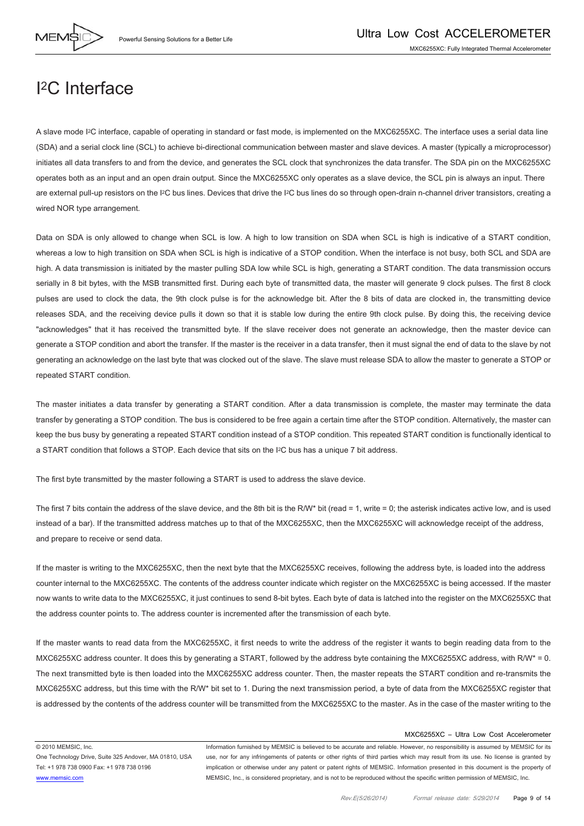

### I2C Interface

A slave mode I2C interface, capable of operating in standard or fast mode, is implemented on the MXC6255XC. The interface uses a serial data line (SDA) and a serial clock line (SCL) to achieve bi-directional communication between master and slave devices. A master (typically a microprocessor) initiates all data transfers to and from the device, and generates the SCL clock that synchronizes the data transfer. The SDA pin on the MXC6255XC operates both as an input and an open drain output. Since the MXC6255XC only operates as a slave device, the SCL pin is always an input. There are external pull-up resistors on the I<sup>2</sup>C bus lines. Devices that drive the I<sup>2</sup>C bus lines do so through open-drain n-channel driver transistors, creating a wired NOR type arrangement.

Data on SDA is only allowed to change when SCL is low. A high to low transition on SDA when SCL is high is indicative of a START condition, whereas a low to high transition on SDA when SCL is high is indicative of a STOP condition. When the interface is not busy, both SCL and SDA are high. A data transmission is initiated by the master pulling SDA low while SCL is high, generating a START condition. The data transmission occurs serially in 8 bit bytes, with the MSB transmitted first. During each byte of transmitted data, the master will generate 9 clock pulses. The first 8 clock pulses are used to clock the data, the 9th clock pulse is for the acknowledge bit. After the 8 bits of data are clocked in, the transmitting device releases SDA, and the receiving device pulls it down so that it is stable low during the entire 9th clock pulse. By doing this, the receiving device "acknowledges" that it has received the transmitted byte. If the slave receiver does not generate an acknowledge, then the master device can generate a STOP condition and abort the transfer. If the master is the receiver in a data transfer, then it must signal the end of data to the slave by not generating an acknowledge on the last byte that was clocked out of the slave. The slave must release SDA to allow the master to generate a STOP or repeated START condition.

The master initiates a data transfer by generating a START condition. After a data transmission is complete, the master may terminate the data transfer by generating a STOP condition. The bus is considered to be free again a certain time after the STOP condition. Alternatively, the master can keep the bus busy by generating a repeated START condition instead of a STOP condition. This repeated START condition is functionally identical to a START condition that follows a STOP. Each device that sits on the I2C bus has a unique 7 bit address.

The first byte transmitted by the master following a START is used to address the slave device.

The first 7 bits contain the address of the slave device, and the 8th bit is the R/W\* bit (read = 1, write = 0; the asterisk indicates active low, and is used instead of a bar). If the transmitted address matches up to that of the MXC6255XC, then the MXC6255XC will acknowledge receipt of the address, and prepare to receive or send data.

If the master is writing to the MXC6255XC, then the next byte that the MXC6255XC receives, following the address byte, is loaded into the address counter internal to the MXC6255XC. The contents of the address counter indicate which register on the MXC6255XC is being accessed. If the master now wants to write data to the MXC6255XC, it just continues to send 8-bit bytes. Each byte of data is latched into the register on the MXC6255XC that the address counter points to. The address counter is incremented after the transmission of each byte.

If the master wants to read data from the MXC6255XC, it first needs to write the address of the register it wants to begin reading data from to the MXC6255XC address counter. It does this by generating a START, followed by the address byte containing the MXC6255XC address, with R/W\* = 0. The next transmitted byte is then loaded into the MXC6255XC address counter. Then, the master repeats the START condition and re-transmits the MXC6255XC address, but this time with the R/W\* bit set to 1. During the next transmission period, a byte of data from the MXC6255XC register that is addressed by the contents of the address counter will be transmitted from the MXC6255XC to the master. As in the case of the master writing to the

#### MXC6255XC – Ultra Low Cost Accelerometer

© 2010 MEMSIC, Inc.

One Technology Drive, Suite 325 Andover, MA 01810, USA Tel: +1 978 738 0900 Fax: +1 978 738 0196 www.memsic.com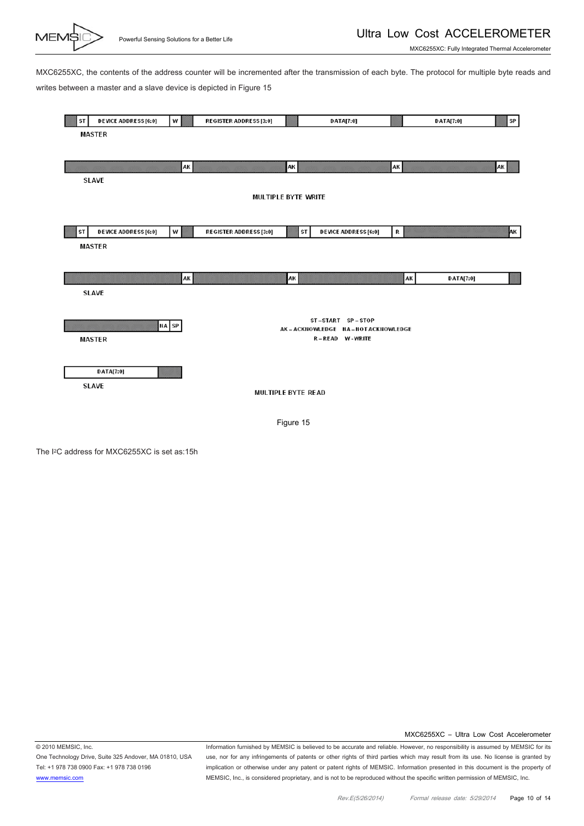

MXC6255XC: Fully Integrated Thermal Accelerometer

MXC6255XC, the contents of the address counter will be incremented after the transmission of each byte. The protocol for multiple byte reads and writes between a master and a slave device is depicted in Figure 15



The I2C address for MXC6255XC is set as:15h

MXC6255XC – Ultra Low Cost Accelerometer

© 2010 MEMSIC, Inc. One Technology Drive, Suite 325 Andover, MA 01810, USA Tel: +1 978 738 0900 Fax: +1 978 738 0196 www.memsic.com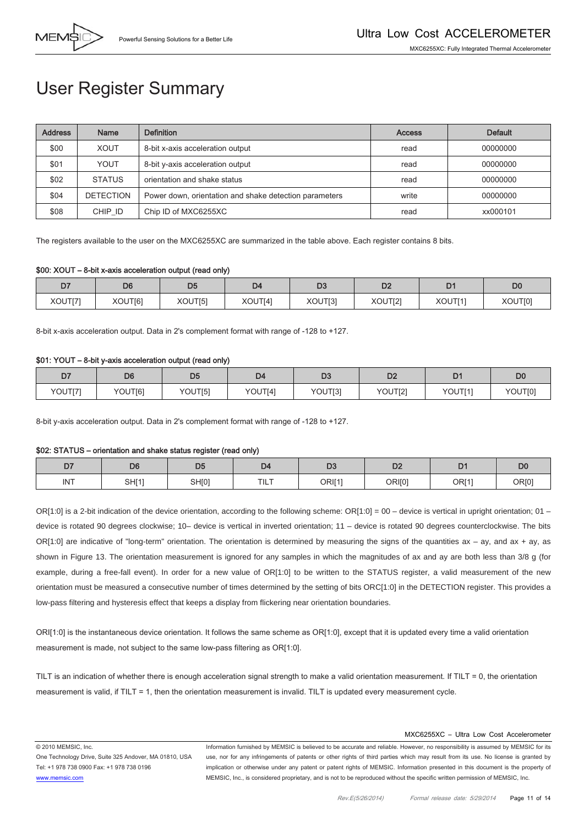

## User Register Summary

| <b>Address</b> | Name             | <b>Definition</b>                                      | <b>Access</b> | <b>Default</b> |
|----------------|------------------|--------------------------------------------------------|---------------|----------------|
| \$00           | <b>XOUT</b>      | 8-bit x-axis acceleration output                       | read          | 00000000       |
| \$01           | YOUT             | 8-bit y-axis acceleration output                       | read          | 00000000       |
| \$02           | <b>STATUS</b>    | orientation and shake status                           | read          | 00000000       |
| \$04           | <b>DETECTION</b> | Power down, orientation and shake detection parameters | write         | 00000000       |
| \$08           | CHIP ID          | Chip ID of MXC6255XC                                   | read          | xx000101       |

The registers available to the user on the MXC6255XC are summarized in the table above. Each register contains 8 bits.

#### \$00: XOUT – 8-bit x-axis acceleration output (read only)

| D7      | D <sub>6</sub> | D <sub>5</sub> | D <sub>4</sub> | ~~<br>ᇋ | DO<br>υz | D.      | D0      |
|---------|----------------|----------------|----------------|---------|----------|---------|---------|
| XOUT[7] | XOUT[6]        | XOUT[5]        | XOUT[4]        | XOUT[3] | XOUT[2]  | XOUT[1] | XOUT[0] |

8-bit x-axis acceleration output. Data in 2's complement format with range of -128 to +127.

#### \$01: YOUT – 8-bit y-axis acceleration output (read only)

| D7      | D <sub>6</sub> | D <sub>5</sub> | D <sub>4</sub> | D <sub>3</sub> | n <sub>o</sub><br>◡▵ | D <sub>1</sub> | DC      |
|---------|----------------|----------------|----------------|----------------|----------------------|----------------|---------|
| YOUT[7] | YOUT[6]        | YOUT[5]        | YOUT[4]        | YOUT[3]        | YOUT[2]              | YOUT[1]        | YOUT[0] |

8-bit y-axis acceleration output. Data in 2's complement format with range of -128 to +127.

#### \$02: STATUS – orientation and shake status register (read only)

| $- -$<br>יש | D6    | DE<br>υu | D4   | $\mathbf{a}$<br>טש | D <sub>2</sub> | <b>The Contract of the Contract of the Contract of the Contract of the Contract of the Contract of the Contract of the Contract of the Contract of The Contract of The Contract of The Contract of The Contract of The Contract </b> | D <sub>C</sub> |
|-------------|-------|----------|------|--------------------|----------------|--------------------------------------------------------------------------------------------------------------------------------------------------------------------------------------------------------------------------------------|----------------|
| <b>INT</b>  | SH[1] | SH[0]    | TILT | ORI[1'             | ORI[0]         | <b>OR[1]</b>                                                                                                                                                                                                                         | OR[0]          |

OR[1:0] is a 2-bit indication of the device orientation, according to the following scheme:  $OR[1:0] = 00$  – device is vertical in upright orientation; 01 – device is rotated 90 degrees clockwise; 10– device is vertical in inverted orientation; 11 – device is rotated 90 degrees counterclockwise. The bits OR[1:0] are indicative of "long-term" orientation. The orientation is determined by measuring the signs of the quantities ax - ay, and ax + ay, as shown in Figure 13. The orientation measurement is ignored for any samples in which the magnitudes of ax and ay are both less than 3/8 g (for example, during a free-fall event). In order for a new value of OR[1:0] to be written to the STATUS register, a valid measurement of the new orientation must be measured a consecutive number of times determined by the setting of bits ORC[1:0] in the DETECTION register. This provides a low-pass filtering and hysteresis effect that keeps a display from flickering near orientation boundaries.

ORI[1:0] is the instantaneous device orientation. It follows the same scheme as OR[1:0], except that it is updated every time a valid orientation measurement is made, not subject to the same low-pass filtering as OR[1:0].

TILT is an indication of whether there is enough acceleration signal strength to make a valid orientation measurement. If TILT = 0, the orientation measurement is valid, if TILT = 1, then the orientation measurement is invalid. TILT is updated every measurement cycle.

#### MXC6255XC – Ultra Low Cost Accelerometer

© 2010 MEMSIC, Inc.

One Technology Drive, Suite 325 Andover, MA 01810, USA Tel: +1 978 738 0900 Fax: +1 978 738 0196 www.memsic.com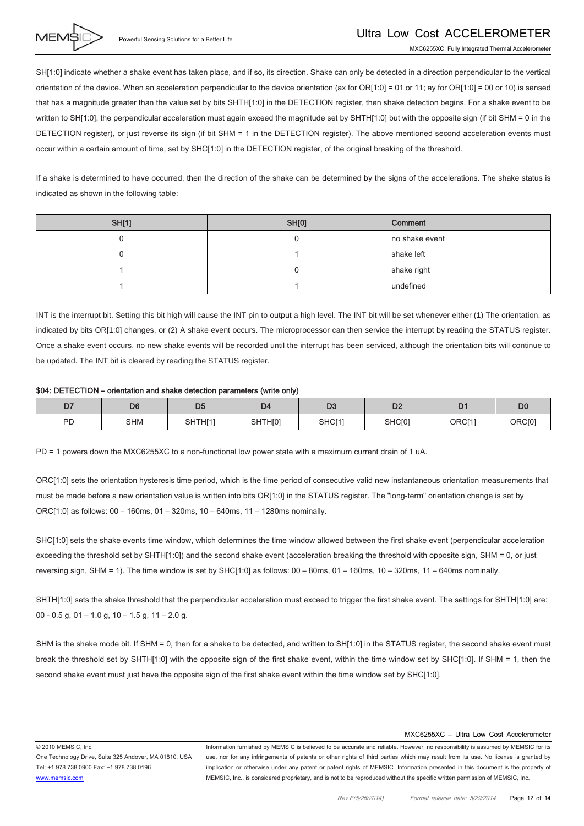

SH[1:0] indicate whether a shake event has taken place, and if so, its direction. Shake can only be detected in a direction perpendicular to the vertical orientation of the device. When an acceleration perpendicular to the device orientation (ax for OR[1:0] = 01 or 11; ay for OR[1:0] = 00 or 10) is sensed that has a magnitude greater than the value set by bits SHTH[1:0] in the DETECTION register, then shake detection begins. For a shake event to be written to SH[1:0], the perpendicular acceleration must again exceed the magnitude set by SHTH[1:0] but with the opposite sign (if bit SHM = 0 in the DETECTION register), or just reverse its sign (if bit SHM = 1 in the DETECTION register). The above mentioned second acceleration events must occur within a certain amount of time, set by SHC[1:0] in the DETECTION register, of the original breaking of the threshold.

If a shake is determined to have occurred, then the direction of the shake can be determined by the signs of the accelerations. The shake status is indicated as shown in the following table:

| <b>SH[1]</b> | SH[0] | Comment        |
|--------------|-------|----------------|
|              |       | no shake event |
|              |       | shake left     |
|              |       | shake right    |
|              |       | undefined      |

INT is the interrupt bit. Setting this bit high will cause the INT pin to output a high level. The INT bit will be set whenever either (1) The orientation, as indicated by bits OR[1:0] changes, or (2) A shake event occurs. The microprocessor can then service the interrupt by reading the STATUS register. Once a shake event occurs, no new shake events will be recorded until the interrupt has been serviced, although the orientation bits will continue to be updated. The INT bit is cleared by reading the STATUS register.

#### \$04: DETECTION – orientation and shake detection parameters (write only)

| --<br>◡              | D6         | --<br>ບູ |                     | $\mathbf{D}$<br>レ、 | n-<br>ື້ |                    | D <sub>C</sub> |
|----------------------|------------|----------|---------------------|--------------------|----------|--------------------|----------------|
| <b>D<sub>D</sub></b> | <b>SHM</b> | SHTH[1]  | SHTH <sub>[0]</sub> | SHC[1]             | SHC[0]   | ORCI <sub>11</sub> | ORC[0]         |

PD = 1 powers down the MXC6255XC to a non-functional low power state with a maximum current drain of 1 uA.

ORC[1:0] sets the orientation hysteresis time period, which is the time period of consecutive valid new instantaneous orientation measurements that must be made before a new orientation value is written into bits OR[1:0] in the STATUS register. The "long-term" orientation change is set by ORC[1:0] as follows: 00 – 160ms, 01 – 320ms, 10 – 640ms, 11 – 1280ms nominally.

SHC[1:0] sets the shake events time window, which determines the time window allowed between the first shake event (perpendicular acceleration exceeding the threshold set by SHTH[1:0]) and the second shake event (acceleration breaking the threshold with opposite sign, SHM = 0, or just reversing sign, SHM = 1). The time window is set by SHC[1:0] as follows: 00 – 80ms, 01 – 160ms, 10 – 320ms, 11 – 640ms nominally.

SHTH[1:0] sets the shake threshold that the perpendicular acceleration must exceed to trigger the first shake event. The settings for SHTH[1:0] are: 00 - 0.5 g, 01 - 1.0 g, 10 - 1.5 g, 11 - 2.0 g.

SHM is the shake mode bit. If SHM = 0, then for a shake to be detected, and written to SH[1:0] in the STATUS register, the second shake event must break the threshold set by SHTH[1:0] with the opposite sign of the first shake event, within the time window set by SHC[1:0]. If SHM = 1, then the second shake event must just have the opposite sign of the first shake event within the time window set by SHC[1:0].

#### MXC6255XC – Ultra Low Cost Accelerometer

© 2010 MEMSIC, Inc.

One Technology Drive, Suite 325 Andover, MA 01810, USA Tel: +1 978 738 0900 Fax: +1 978 738 0196 www.memsic.com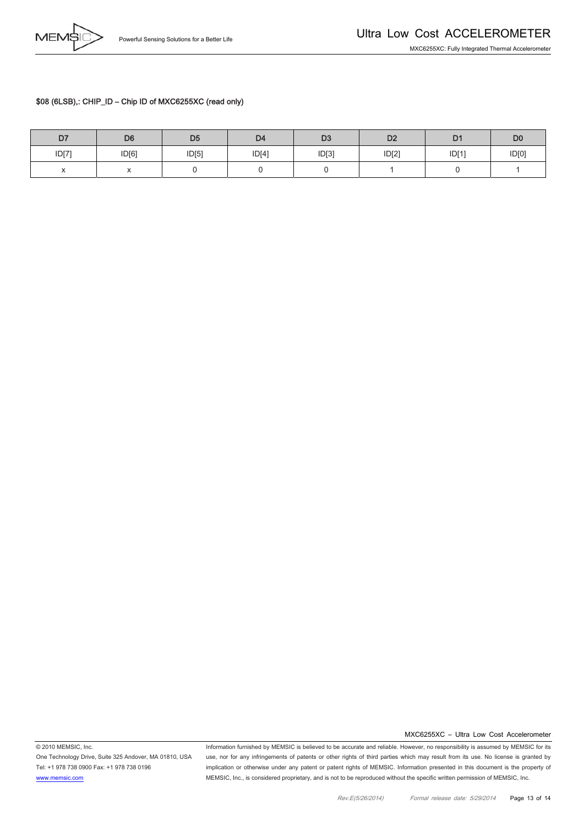#### \$08 (6LSB),: CHIP\_ID – Chip ID of MXC6255XC (read only)

| D7                                               | D <sub>6</sub> | D <sub>5</sub> | D4    | D <sub>3</sub> | D <sub>2</sub> | D <sub>1</sub> | D <sub>0</sub> |
|--------------------------------------------------|----------------|----------------|-------|----------------|----------------|----------------|----------------|
| ID[7]                                            | ID[6]          | ID[5]          | ID[4] | ID[3]          | ID[2]          | ID[1]          | ID[0]          |
| $\ddot{\phantom{0}}$<br>$\overline{\phantom{a}}$ | $\lambda$      |                |       |                |                |                |                |

One Technology Drive, Suite 325 Andover, MA 01810, USA Tel: +1 978 738 0900 Fax: +1 978 738 0196 www.memsic.com

© 2010 MEMSIC, Inc.

Information furnished by MEMSIC is believed to be accurate and reliable. However, no responsibility is assumed by MEMSIC for its use, nor for any infringements of patents or other rights of third parties which may result from its use. No license is granted by implication or otherwise under any patent or patent rights of MEMSIC. Information presented in this document is the property of MEMSIC, Inc., is considered proprietary, and is not to be reproduced without the specific written permission of MEMSIC, Inc.

MXC6255XC – Ultra Low Cost Accelerometer